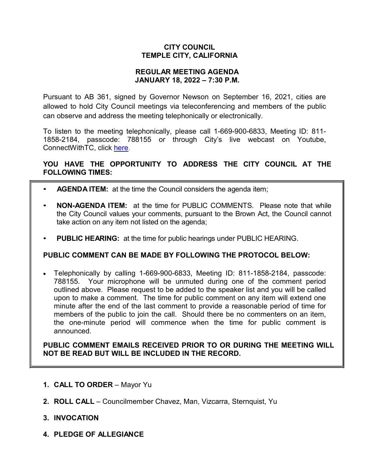### **CITY COUNCIL TEMPLE CITY, CALIFORNIA**

#### **REGULAR MEETING AGENDA JANUARY 18, 2022 – 7:30 P.M.**

Pursuant to AB 361, signed by Governor Newson on September 16, 2021, cities are allowed to hold City Council meetings via teleconferencing and members of the public can observe and address the meeting telephonically or electronically.

To listen to the meeting telephonically, please call 1-669-900-6833, Meeting ID: 811- 1858-2184, passcode: 788155 or through City's live webcast on Youtube, ConnectWithTC, click [here.](https://www.ci.temple-city.ca.us/516/Meeting-Webcast)

# **YOU HAVE THE OPPORTUNITY TO ADDRESS THE CITY COUNCIL AT THE FOLLOWING TIMES:**

- **AGENDA ITEM:** at the time the Council considers the agenda item;
- **NON-AGENDA ITEM:** at the time for PUBLIC COMMENTS. Please note that while the City Council values your comments, pursuant to the Brown Act, the Council cannot take action on any item not listed on the agenda;
- **PUBLIC HEARING:** at the time for public hearings under PUBLIC HEARING.

### **PUBLIC COMMENT CAN BE MADE BY FOLLOWING THE PROTOCOL BELOW:**

• Telephonically by calling 1-669-900-6833, Meeting ID: 811-1858-2184, passcode: 788155. Your microphone will be unmuted during one of the comment period outlined above. Please request to be added to the speaker list and you will be called upon to make a comment. The time for public comment on any item will extend one minute after the end of the last comment to provide a reasonable period of time for members of the public to join the call. Should there be no commenters on an item, the one-minute period will commence when the time for public comment is announced.

**PUBLIC COMMENT EMAILS RECEIVED PRIOR TO OR DURING THE MEETING WILL NOT BE READ BUT WILL BE INCLUDED IN THE RECORD.**

- **1. CALL TO ORDER**  Mayor Yu
- **2. ROLL CALL**  Councilmember Chavez, Man, Vizcarra, Sternquist, Yu
- **3. INVOCATION**
- **4. PLEDGE OF ALLEGIANCE**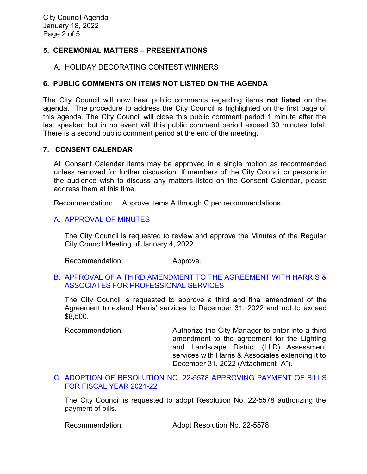## **5. CEREMONIAL MATTERS – PRESENTATIONS**

#### A. HOLIDAY DECORATING CONTEST WINNERS

### **6. PUBLIC COMMENTS ON ITEMS NOT LISTED ON THE AGENDA**

The City Council will now hear public comments regarding items **not listed** on the agenda. The procedure to address the City Council is highlighted on the first page of this agenda. The City Council will close this public comment period 1 minute after the last speaker, but in no event will this public comment period exceed 30 minutes total. There is a second public comment period at the end of the meeting.

#### **7. CONSENT CALENDAR**

All Consent Calendar items may be approved in a single motion as recommended unless removed for further discussion. If members of the City Council or persons in the audience wish to discuss any matters listed on the Consent Calendar, please address them at this time.

Recommendation: Approve Items A through C per recommendations.

### [A. APPROVAL OF MINUTES](https://www.ci.temple-city.ca.us/DocumentCenter/View/17322/02-7A_CCM---2022-01-04)

The City Council is requested to review and approve the Minutes of the Regular City Council Meeting of January 4, 2022.

Recommendation: Approve.

### B. [APPROVAL OF A THIRD AMENDMENT TO THE AGREEMENT WITH HARRIS &](https://www.ci.temple-city.ca.us/DocumentCenter/View/17323/03-7B_Agreement-with-Harris-and-Associates_Staff-Report-Third-Amendment-Harris-Extension-w-attachment)  [ASSOCIATES FOR PROFESSIONAL SERVICES](https://www.ci.temple-city.ca.us/DocumentCenter/View/17323/03-7B_Agreement-with-Harris-and-Associates_Staff-Report-Third-Amendment-Harris-Extension-w-attachment)

The City Council is requested to approve a third and final amendment of the Agreement to extend Harris' services to December 31, 2022 and not to exceed \$8,500.

Recommendation: Authorize the City Manager to enter into a third amendment to the agreement for the Lighting and Landscape District (LLD) Assessment services with Harris & Associates extending it to December 31, 2022 (Attachment "A").

### C. [ADOPTION OF RESOLUTION NO. 22-5578](https://www.ci.temple-city.ca.us/DocumentCenter/View/17318/04-7C_Warrants--Demands--Reso-No-22-5578-11822-FY-2021-2022-w-attachment) APPROVING PAYMENT OF BILLS [FOR FISCAL YEAR 2021-22](https://www.ci.temple-city.ca.us/DocumentCenter/View/17318/04-7C_Warrants--Demands--Reso-No-22-5578-11822-FY-2021-2022-w-attachment)

The City Council is requested to adopt Resolution No. 22-5578 authorizing the payment of bills.

Recommendation: Adopt Resolution No. 22-5578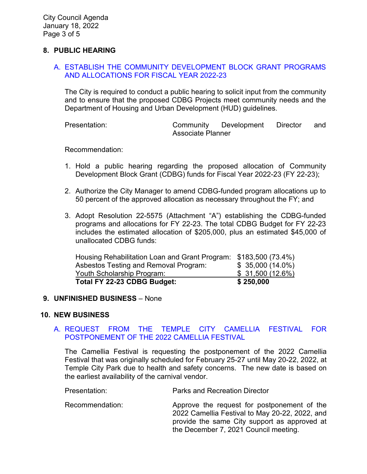### **8. PUBLIC HEARING**

### A. [ESTABLISH THE COMMUNITY DEVELOPMENT BLOCK GRANT PROGRAMS](https://www.ci.temple-city.ca.us/DocumentCenter/View/17319/05-8A_CDBG_Staff-Report-FY-22-23-v3-w-attachments_2022-01-10)  [AND ALLOCATIONS FOR FISCAL YEAR 2022-23](https://www.ci.temple-city.ca.us/DocumentCenter/View/17319/05-8A_CDBG_Staff-Report-FY-22-23-v3-w-attachments_2022-01-10)

The City is required to conduct a public hearing to solicit input from the community and to ensure that the proposed CDBG Projects meet community needs and the Department of Housing and Urban Development (HUD) guidelines.

Presentation: Community Development Director and Associate Planner

Recommendation:

- 1. Hold a public hearing regarding the proposed allocation of Community Development Block Grant (CDBG) funds for Fiscal Year 2022-23 (FY 22-23);
- 2. Authorize the City Manager to amend CDBG-funded program allocations up to 50 percent of the approved allocation as necessary throughout the FY; and
- 3. Adopt Resolution 22-5575 (Attachment "A") establishing the CDBG-funded programs and allocations for FY 22-23. The total CDBG Budget for FY 22-23 includes the estimated allocation of \$205,000, plus an estimated \$45,000 of unallocated CDBG funds:

| Total FY 22-23 CDBG Budget:                                      | \$250,000         |
|------------------------------------------------------------------|-------------------|
| Youth Scholarship Program:                                       | \$31,500 (12.6%)  |
| Asbestos Testing and Removal Program:                            | $$35,000(14.0\%)$ |
| Housing Rehabilitation Loan and Grant Program: \$183,500 (73.4%) |                   |

### **9. UNFINISHED BUSINESS** – None

#### **10. NEW BUSINESS**

#### A. [REQUEST FROM THE TEMPLE CITY CAMELLIA FESTIVAL FOR](https://www.ci.temple-city.ca.us/DocumentCenter/View/17320/06-10A_Camellia-Festival_Staff-Report-v10-w-attachment_2022-01-10)  [POSTPONEMENT OF THE 2022 CAMELLIA FESTIVAL](https://www.ci.temple-city.ca.us/DocumentCenter/View/17320/06-10A_Camellia-Festival_Staff-Report-v10-w-attachment_2022-01-10)

The Camellia Festival is requesting the postponement of the 2022 Camellia Festival that was originally scheduled for February 25-27 until May 20-22, 2022, at Temple City Park due to health and safety concerns. The new date is based on the earliest availability of the carnival vendor.

Presentation: Parks and Recreation Director

Recommendation: Approve the request for postponement of the 2022 Camellia Festival to May 20-22, 2022, and provide the same City support as approved at the December 7, 2021 Council meeting.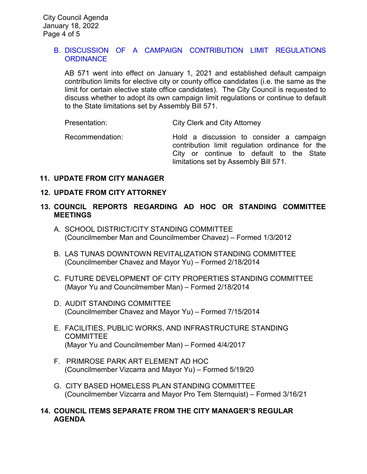## B. DISCUSSION [OF A CAMPAIGN CONTRIBUTION LIMIT REGULATIONS](https://www.ci.temple-city.ca.us/DocumentCenter/View/17321/07-10B_Campaign-Contribution-Limit-AB-571_Staff-Report_v5_2022-01-11-w-attachments)  **[ORDINANCE](https://www.ci.temple-city.ca.us/DocumentCenter/View/17321/07-10B_Campaign-Contribution-Limit-AB-571_Staff-Report_v5_2022-01-11-w-attachments)**

AB 571 went into effect on January 1, 2021 and established default campaign contribution limits for elective city or county office candidates (i.e. the same as the limit for certain elective state office candidates). The City Council is requested to discuss whether to adopt its own campaign limit regulations or continue to default to the State limitations set by Assembly Bill 571.

Presentation: City Clerk and City Attorney

Recommendation: Hold a discussion to consider a campaign contribution limit regulation ordinance for the City or continue to default to the State limitations set by Assembly Bill 571.

### **11. UPDATE FROM CITY MANAGER**

## **12. UPDATE FROM CITY ATTORNEY**

- **13. COUNCIL REPORTS REGARDING AD HOC OR STANDING COMMITTEE MEETINGS** 
	- A. SCHOOL DISTRICT/CITY STANDING COMMITTEE (Councilmember Man and Councilmember Chavez) – Formed 1/3/2012
	- B. LAS TUNAS DOWNTOWN REVITALIZATION STANDING COMMITTEE (Councilmember Chavez and Mayor Yu) – Formed 2/18/2014
	- C. FUTURE DEVELOPMENT OF CITY PROPERTIES STANDING COMMITTEE (Mayor Yu and Councilmember Man) – Formed 2/18/2014
	- D. AUDIT STANDING COMMITTEE (Councilmember Chavez and Mayor Yu) – Formed 7/15/2014
	- E. FACILITIES, PUBLIC WORKS, AND INFRASTRUCTURE STANDING **COMMITTEE** (Mayor Yu and Councilmember Man) – Formed 4/4/2017
	- F. PRIMROSE PARK ART ELEMENT AD HOC (Councilmember Vizcarra and Mayor Yu) – Formed 5/19/20
	- G. CITY BASED HOMELESS PLAN STANDING COMMITTEE (Councilmember Vizcarra and Mayor Pro Tem Sternquist) – Formed 3/16/21

# **14. COUNCIL ITEMS SEPARATE FROM THE CITY MANAGER'S REGULAR AGENDA**